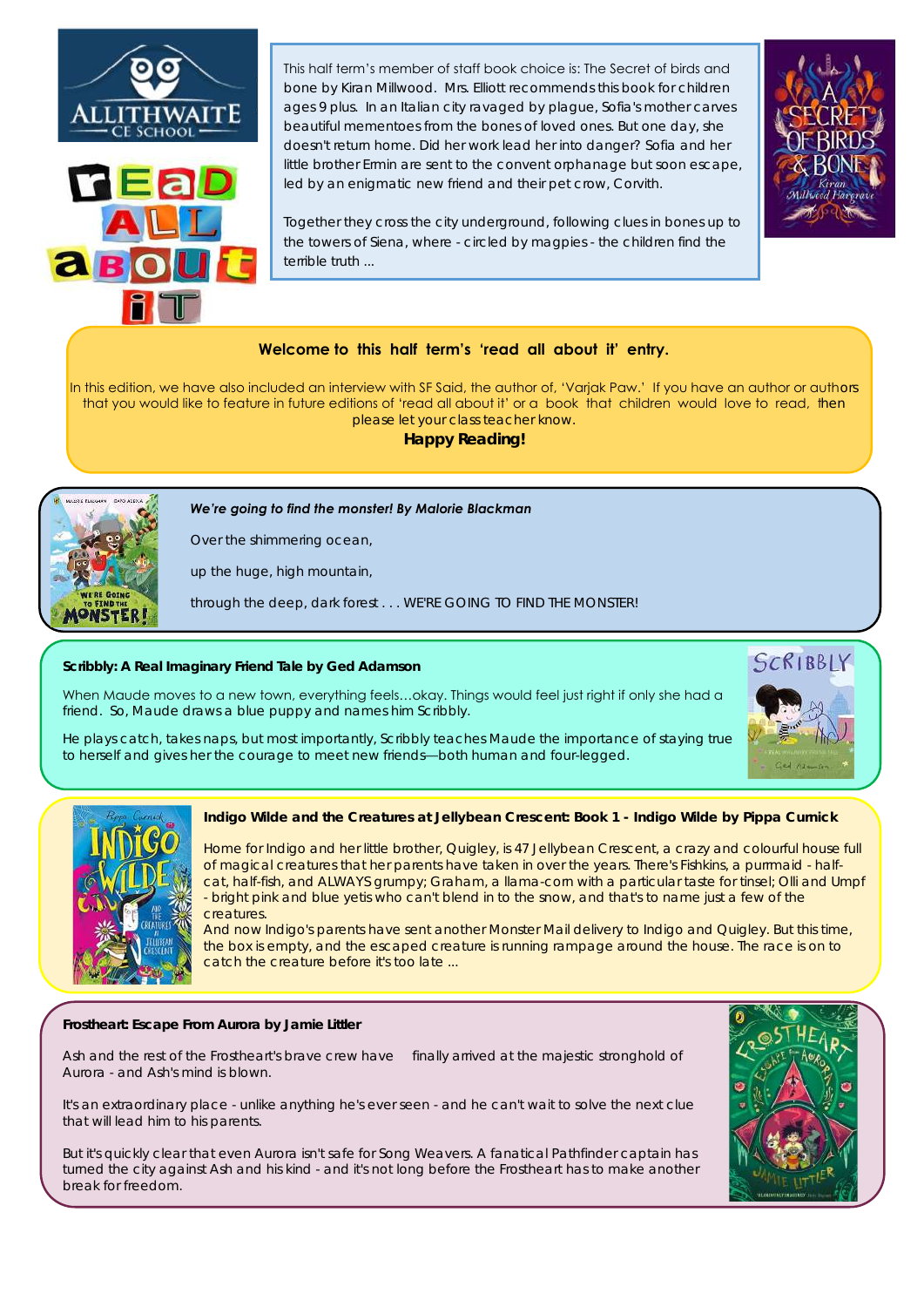



This half term's member of staff book choice is: The Secret of birds and bone by Kiran Millwood. Mrs. Elliott recommends this book for children ages 9 plus. In an Italian city ravaged by plague, Sofia's mother carves beautiful mementoes from the bones of loved ones. But one day, she doesn't return home. Did her work lead her into danger? Sofia and her little brother Ermin are sent to the convent orphanage but soon escape, led by an enigmatic new friend and their pet crow, Corvith.

Together they cross the city underground, following clues in bones up to the towers of Siena, where - circled by magpies - the children find the terrible truth



In this edition, we have also included an interview with SF Said, the author of, 'Varjak Paw.' If you have an author or authors that you would like to feature in future editions of 'read all about it' or a book that children would love to read, then please let your class teacher know.

**Happy Reading!** 



**[Frostheart: Escape From Aurora](https://www.penguin.co.uk/books/309720/frostheart-2/9780241355299.html) by [Jamie Littler](https://www.penguin.co.uk/authors/135343/jamie-littler.html)**

Ash and the rest of the *Frostheart*'s brave crew have finally arrived at the majestic stronghold of Aurora - and Ash's mind is *blown*.

It's an extraordinary place - unlike anything he's ever seen - and he can't wait to solve the next clue that will lead him to his parents.

But it's quickly clear that even Aurora isn't safe for Song Weavers. A fanatical Pathfinder captain has turned the city against Ash and his kind - and it's not long before the *Frostheart* has to make another break for freedom.



*We're going to find the monster! By Malorie Blackman*

*Over the shimmering ocean,* 

*up the huge, high mountain,* 

*through the deep, dark forest . . . WE'RE GOING TO FIND THE MONSTER!*

**Indigo Wilde and the Creatures at Jellybean Crescent: Book 1 - Indigo Wilde by Pippa Curnick** 

Home for Indigo and her little brother, Quigley, is 47 Jellybean Crescent, a crazy and colourful house full of magical creatures that her parents have taken in over the years. There's Fishkins, a purrmaid - halfcat, half-fish, and ALWAYS grumpy; Graham, a llama-corn with a particular taste for tinsel; Olli and Umpf - bright pink and blue yetis who can't blend in to the snow, and that's to name just a few of the creatures.

And now Indigo's parents have sent another Monster Mail delivery to Indigo and Quigley. But this time, the box is empty, and the escaped creature is running rampage around the house. The race is on to catch the creature before it's too late ...

**Scribbly: A Real Imaginary Friend Tale by Ged Adamson** 

When Maude moves to a new town, everything feels…okay. Things would feel just right if only she had a friend. So, Maude draws a blue puppy and names him Scribbly.

He plays catch, takes naps, but most importantly, Scribbly teaches Maude the importance of staying true to herself and gives her the courage to meet new friends—both human and four-legged.